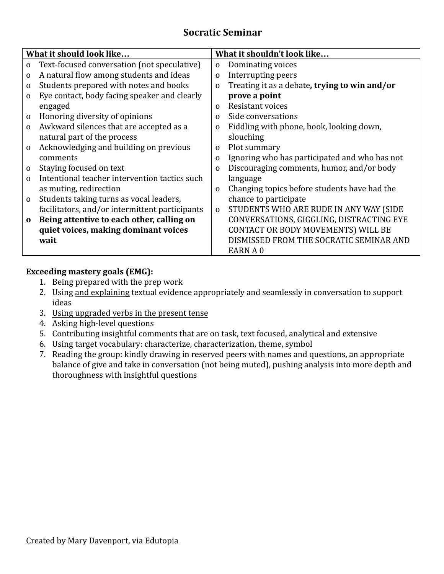## **Socratic Seminar**

| What it should look like |                                                | What it shouldn't look like |                                               |
|--------------------------|------------------------------------------------|-----------------------------|-----------------------------------------------|
| $\mathbf{O}$             | Text-focused conversation (not speculative)    | $\mathbf{O}$                | Dominating voices                             |
| $\mathbf{0}$             | A natural flow among students and ideas        | $\mathbf{O}$                | Interrupting peers                            |
| $\mathbf{O}$             | Students prepared with notes and books         | $\mathbf{O}$                | Treating it as a debate, trying to win and/or |
| $\mathbf{O}$             | Eye contact, body facing speaker and clearly   |                             | prove a point                                 |
|                          | engaged                                        | $\Omega$                    | Resistant voices                              |
| $\mathbf{O}$             | Honoring diversity of opinions                 | $\Omega$                    | Side conversations                            |
| $\mathbf{0}$             | Awkward silences that are accepted as a        | $\Omega$                    | Fiddling with phone, book, looking down,      |
|                          | natural part of the process                    |                             | slouching                                     |
| $\Omega$                 | Acknowledging and building on previous         | 0                           | Plot summary                                  |
|                          | comments                                       | $\mathbf{O}$                | Ignoring who has participated and who has not |
| $\mathbf{O}$             | Staying focused on text                        | $\mathbf{O}$                | Discouraging comments, humor, and/or body     |
| $\Omega$                 | Intentional teacher intervention tactics such  |                             | language                                      |
|                          | as muting, redirection                         | $\Omega$                    | Changing topics before students have had the  |
| $\mathbf{O}$             | Students taking turns as vocal leaders,        |                             | chance to participate                         |
|                          | facilitators, and/or intermittent participants | $\mathbf 0$                 | STUDENTS WHO ARE RUDE IN ANY WAY (SIDE        |
| $\mathbf 0$              | Being attentive to each other, calling on      |                             | CONVERSATIONS, GIGGLING, DISTRACTING EYE      |
|                          | quiet voices, making dominant voices           |                             | CONTACT OR BODY MOVEMENTS) WILL BE            |
|                          | wait                                           |                             | DISMISSED FROM THE SOCRATIC SEMINAR AND       |
|                          |                                                |                             | EARN A 0                                      |

## **Exceeding mastery goals (EMG):**

- 1. Being prepared with the prep work
- 2. Using and explaining textual evidence appropriately and seamlessly in conversation to support ideas
- 3. Using upgraded verbs in the present tense
- 4. Asking high-level questions
- 5. Contributing insightful comments that are on task, text focused, analytical and extensive
- 6. Using target vocabulary: characterize, characterization, theme, symbol
- 7. Reading the group: kindly drawing in reserved peers with names and questions, an appropriate balance of give and take in conversation (not being muted), pushing analysis into more depth and thoroughness with insightful questions